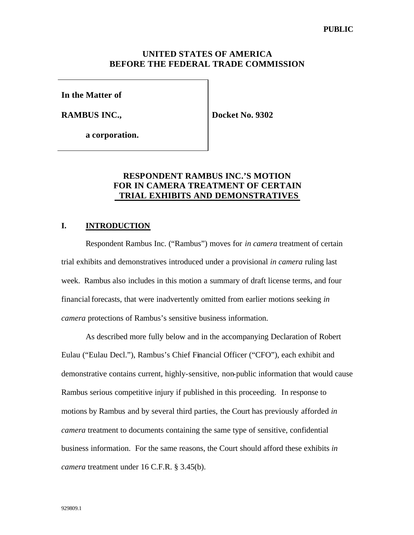## **UNITED STATES OF AMERICA BEFORE THE FEDERAL TRADE COMMISSION**

**In the Matter of**

**RAMBUS INC.,**

**Docket No. 9302**

**a corporation.**

## **RESPONDENT RAMBUS INC.'S MOTION FOR IN CAMERA TREATMENT OF CERTAIN TRIAL EXHIBITS AND DEMONSTRATIVES**

#### **I. INTRODUCTION**

Respondent Rambus Inc. ("Rambus") moves for *in camera* treatment of certain trial exhibits and demonstratives introduced under a provisional *in camera* ruling last week. Rambus also includes in this motion a summary of draft license terms, and four financial forecasts, that were inadvertently omitted from earlier motions seeking *in camera* protections of Rambus's sensitive business information.

As described more fully below and in the accompanying Declaration of Robert Eulau ("Eulau Decl."), Rambus's Chief Financial Officer ("CFO"), each exhibit and demonstrative contains current, highly-sensitive, non-public information that would cause Rambus serious competitive injury if published in this proceeding. In response to motions by Rambus and by several third parties, the Court has previously afforded *in camera* treatment to documents containing the same type of sensitive, confidential business information. For the same reasons, the Court should afford these exhibits *in camera* treatment under 16 C.F.R. § 3.45(b).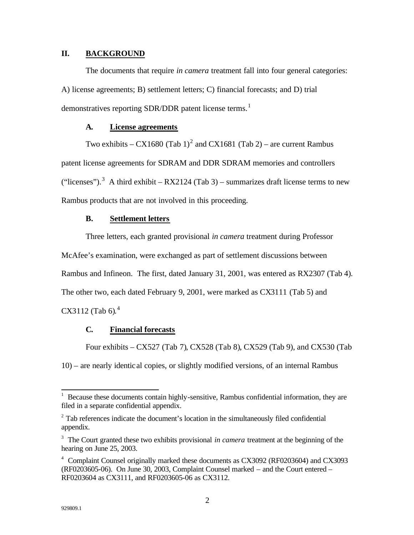## **II. BACKGROUND**

The documents that require *in camera* treatment fall into four general categories: A) license agreements; B) settlement letters; C) financial forecasts; and D) trial demonstratives reporting SDR/DDR patent license terms.<sup>1</sup>

### **A. License agreements**

Two exhibits – CX1680 (Tab 1)<sup>2</sup> and CX1681 (Tab 2) – are current Rambus patent license agreements for SDRAM and DDR SDRAM memories and controllers ("licenses").<sup>3</sup> A third exhibit – RX2124 (Tab 3) – summarizes draft license terms to new Rambus products that are not involved in this proceeding.

#### **B. Settlement letters**

Three letters, each granted provisional *in camera* treatment during Professor

McAfee's examination, were exchanged as part of settlement discussions between

Rambus and Infineon. The first, dated January 31, 2001, was entered as RX2307 (Tab 4).

The other two, each dated February 9, 2001, were marked as CX3111 (Tab 5) and

 $CX3112 (Tab 6).<sup>4</sup>$ 

## **C. Financial forecasts**

Four exhibits – CX527 (Tab 7), CX528 (Tab 8), CX529 (Tab 9), and CX530 (Tab

10) – are nearly identical copies, or slightly modified versions, of an internal Rambus

 $\overline{\phantom{a}}$ 

<sup>1</sup> Because these documents contain highly-sensitive, Rambus confidential information, they are filed in a separate confidential appendix.

 $2^2$  Tab references indicate the document's location in the simultaneously filed confidential appendix.

<sup>&</sup>lt;sup>3</sup> The Court granted these two exhibits provisional *in camera* treatment at the beginning of the hearing on June 25, 2003.

<sup>&</sup>lt;sup>4</sup> Complaint Counsel originally marked these documents as CX3092 (RF0203604) and CX3093 (RF0203605-06). On June 30, 2003, Complaint Counsel marked – and the Court entered – RF0203604 as CX3111, and RF0203605-06 as CX3112.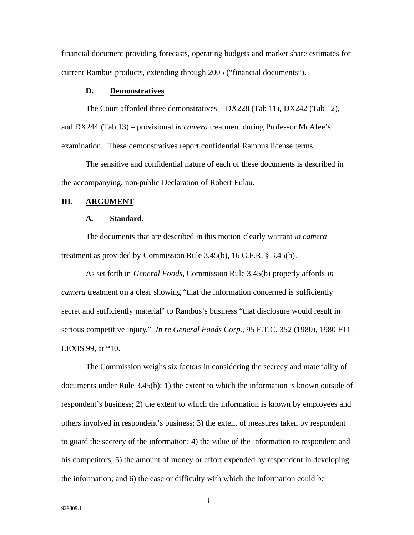financial document providing forecasts, operating budgets and market share estimates for current Rambus products, extending through 2005 ("financial documents").

#### **D. Demonstratives**

The Court afforded three demonstratives – DX228 (Tab 11), DX242 (Tab 12), and DX244 (Tab 13) – provisional *in camera* treatment during Professor McAfee's examination. These demonstratives report confidential Rambus license terms.

The sensitive and confidential nature of each of these documents is described in the accompanying, non-public Declaration of Robert Eulau.

#### **III. ARGUMENT**

#### **A. Standard.**

The documents that are described in this motion clearly warrant *in camera* treatment as provided by Commission Rule 3.45(b), 16 C.F.R. § 3.45(b).

As set forth in *General Foods*, Commission Rule 3.45(b) properly affords *in camera* treatment on a clear showing "that the information concerned is sufficiently secret and sufficiently material" to Rambus's business "that disclosure would result in serious competitive injury." *In re General Foods Corp.*, 95 F.T.C. 352 (1980), 1980 FTC LEXIS 99, at \*10.

The Commission weighs six factors in considering the secrecy and materiality of documents under Rule 3.45(b): 1) the extent to which the information is known outside of respondent's business; 2) the extent to which the information is known by employees and others involved in respondent's business; 3) the extent of measures taken by respondent to guard the secrecy of the information; 4) the value of the information to respondent and his competitors; 5) the amount of money or effort expended by respondent in developing the information; and 6) the ease or difficulty with which the information could be

3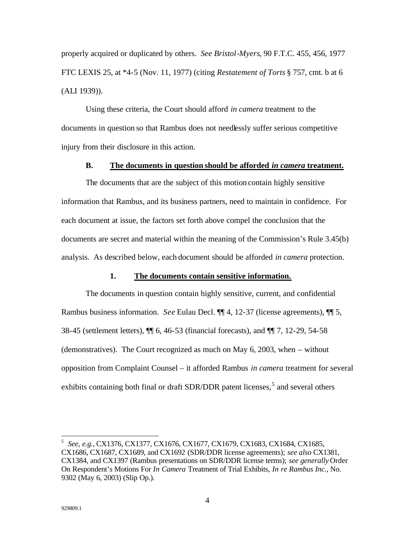properly acquired or duplicated by others. *See Bristol-Myers*, 90 F.T.C. 455, 456, 1977 FTC LEXIS 25, at \*4-5 (Nov. 11, 1977) (citing *Restatement of Torts* § 757, cmt. b at 6 (ALI 1939)).

Using these criteria, the Court should afford *in camera* treatment to the documents in question so that Rambus does not needlessly suffer serious competitive injury from their disclosure in this action.

#### **B. The documents in question should be afforded** *in camera* **treatment.**

The documents that are the subject of this motion contain highly sensitive information that Rambus, and its business partners, need to maintain in confidence. For each document at issue, the factors set forth above compel the conclusion that the documents are secret and material within the meaning of the Commission's Rule 3.45(b) analysis. As described below, each document should be afforded *in camera* protection.

## **1. The documents contain sensitive information.**

The documents in question contain highly sensitive, current, and confidential Rambus business information. *See* Eulau Decl. ¶¶ 4, 12-37 (license agreements), ¶¶ 5, 38-45 (settlement letters), ¶¶ 6, 46-53 (financial forecasts), and ¶¶ 7, 12-29, 54-58 (demonstratives). The Court recognized as much on May 6, 2003, when – without opposition from Complaint Counsel – it afforded Rambus *in camera* treatment for several exhibits containing both final or draft SDR/DDR patent licenses,<sup>5</sup> and several others

 $\overline{a}$ 

<sup>5</sup> *See, e.g.,* CX1376, CX1377, CX1676, CX1677, CX1679, CX1683, CX1684, CX1685, CX1686, CX1687, CX1689, and CX1692 (SDR/DDR license agreements); *see also* CX1381, CX1384, and CX1397 (Rambus presentations on SDR/DDR license terms); *see generally* Order On Respondent's Motions For *In Camera* Treatment of Trial Exhibits, *In re Rambus Inc.*, No. 9302 (May 6, 2003) (Slip Op.).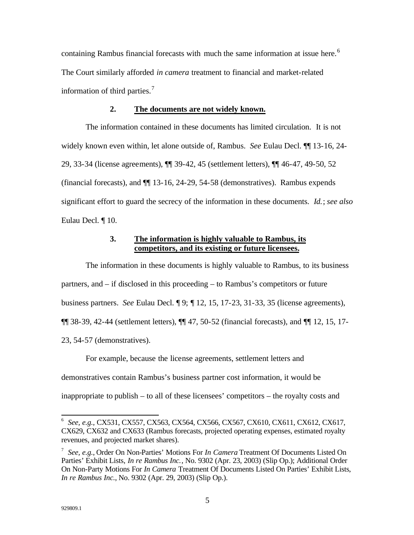containing Rambus financial forecasts with much the same information at issue here.<sup>6</sup> The Court similarly afforded *in camera* treatment to financial and market-related information of third parties.<sup>7</sup>

#### **2. The documents are not widely known.**

The information contained in these documents has limited circulation. It is not widely known even within, let alone outside of, Rambus. *See* Eulau Decl. ¶¶ 13-16, 24- 29, 33-34 (license agreements), ¶¶ 39-42, 45 (settlement letters), ¶¶ 46-47, 49-50, 52 (financial forecasts), and ¶¶ 13-16, 24-29, 54-58 (demonstratives). Rambus expends significant effort to guard the secrecy of the information in these documents. *Id.*; *see also* Eulau Decl. ¶ 10.

## **3. The information is highly valuable to Rambus, its competitors, and its existing or future licensees.**

The information in these documents is highly valuable to Rambus, to its business partners, and – if disclosed in this proceeding – to Rambus's competitors or future business partners. *See* Eulau Decl. ¶ 9; ¶ 12, 15, 17-23, 31-33, 35 (license agreements), ¶¶ 38-39, 42-44 (settlement letters), ¶¶ 47, 50-52 (financial forecasts), and ¶¶ 12, 15, 17- 23, 54-57 (demonstratives).

For example, because the license agreements, settlement letters and demonstratives contain Rambus's business partner cost information, it would be inappropriate to publish – to all of these licensees' competitors – the royalty costs and

 6 *See, e.g.,* CX531, CX557, CX563, CX564, CX566, CX567, CX610, CX611, CX612, CX617, CX629, CX632 and CX633 (Rambus forecasts, projected operating expenses, estimated royalty revenues, and projected market shares).

<sup>7</sup> *See, e.g.,* Order On Non-Parties' Motions For *In Camera* Treatment Of Documents Listed On Parties' Exhibit Lists, *In re Rambus Inc.*, No. 9302 (Apr. 23, 2003) (Slip Op.); Additional Order On Non-Party Motions For *In Camera* Treatment Of Documents Listed On Parties' Exhibit Lists, *In re Rambus Inc.*, No. 9302 (Apr. 29, 2003) (Slip Op.).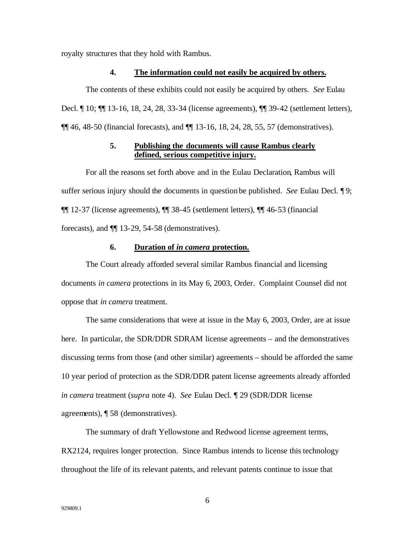royalty structures that they hold with Rambus.

### **4. The information could not easily be acquired by others.**

The contents of these exhibits could not easily be acquired by others. *See* Eulau Decl. ¶ 10; ¶¶ 13-16, 18, 24, 28, 33-34 (license agreements), ¶¶ 39-42 (settlement letters), ¶¶ 46, 48-50 (financial forecasts), and ¶¶ 13-16, 18, 24, 28, 55, 57 (demonstratives).

## **5. Publishing the documents will cause Rambus clearly defined, serious competitive injury.**

For all the reasons set forth above and in the Eulau Declaration, Rambus will suffer serious injury should the documents in question be published. *See* Eulau Decl. ¶ 9; ¶¶ 12-37 (license agreements), ¶¶ 38-45 (settlement letters), ¶¶ 46-53 (financial forecasts), and ¶¶ 13-29, 54-58 (demonstratives).

#### **6. Duration of** *in camera* **protection.**

The Court already afforded several similar Rambus financial and licensing documents *in camera* protections in its May 6, 2003, Order. Complaint Counsel did not oppose that *in camera* treatment.

The same considerations that were at issue in the May 6, 2003, Order, are at issue here. In particular, the SDR/DDR SDRAM license agreements – and the demonstratives discussing terms from those (and other similar) agreements – should be afforded the same 10 year period of protection as the SDR/DDR patent license agreements already afforded *in camera* treatment (*supra* note 4). *See* Eulau Decl. ¶ 29 (SDR/DDR license agreements), ¶ 58 (demonstratives).

The summary of draft Yellowstone and Redwood license agreement terms, RX2124, requires longer protection. Since Rambus intends to license this technology throughout the life of its relevant patents, and relevant patents continue to issue that

6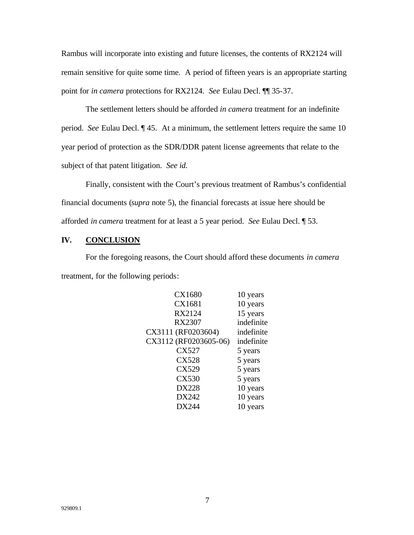Rambus will incorporate into existing and future licenses, the contents of RX2124 will remain sensitive for quite some time. A period of fifteen years is an appropriate starting point for *in camera* protections for RX2124. *See* Eulau Decl. ¶¶ 35-37.

The settlement letters should be afforded *in camera* treatment for an indefinite period. *See* Eulau Decl. ¶ 45. At a minimum, the settlement letters require the same 10 year period of protection as the SDR/DDR patent license agreements that relate to the subject of that patent litigation. *See id.*

Finally, consistent with the Court's previous treatment of Rambus's confidential financial documents (*supra* note 5), the financial forecasts at issue here should be afforded *in camera* treatment for at least a 5 year period. *See* Eulau Decl. ¶ 53.

## **IV. CONCLUSION**

For the foregoing reasons, the Court should afford these documents *in camera*  treatment, for the following periods:

| CX1680                | 10 years   |
|-----------------------|------------|
| CX1681                | 10 years   |
| RX2124                | 15 years   |
| <b>RX2307</b>         | indefinite |
| CX3111 (RF0203604)    | indefinite |
| CX3112 (RF0203605-06) | indefinite |
| CX527                 | 5 years    |
| <b>CX528</b>          | 5 years    |
| CX529                 | 5 years    |
| <b>CX530</b>          | 5 years    |
| <b>DX228</b>          | 10 years   |
| DX242                 | 10 years   |
| DX244                 | 10 years   |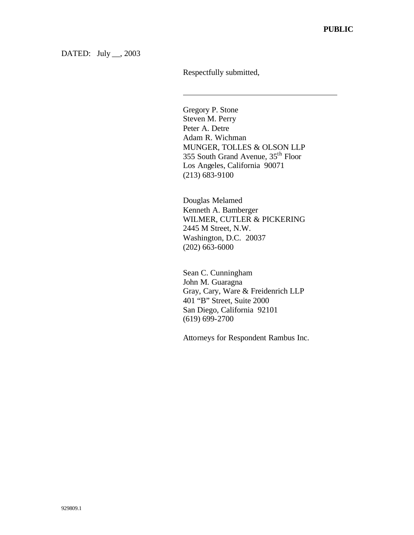DATED: July \_\_, 2003

Respectfully submitted,

 $\overline{a}$ 

Gregory P. Stone Steven M. Perry Peter A. Detre Adam R. Wichman MUNGER, TOLLES & OLSON LLP 355 South Grand Avenue, 35th Floor Los Angeles, California 90071 (213) 683-9100

Douglas Melamed Kenneth A. Bamberger WILMER, CUTLER & PICKERING 2445 M Street, N.W. Washington, D.C. 20037 (202) 663-6000

Sean C. Cunningham John M. Guaragna Gray, Cary, Ware & Freidenrich LLP 401 "B" Street, Suite 2000 San Diego, California 92101 (619) 699-2700

Attorneys for Respondent Rambus Inc.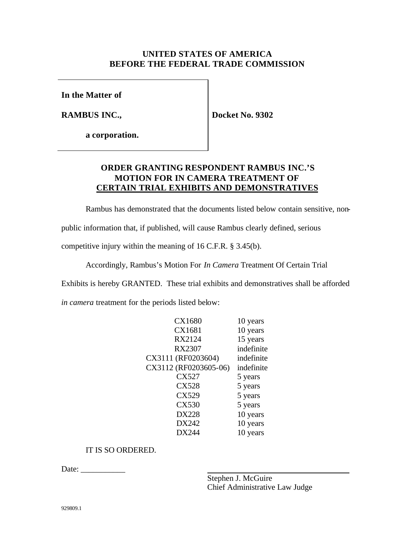## **UNITED STATES OF AMERICA BEFORE THE FEDERAL TRADE COMMISSION**

**In the Matter of**

**RAMBUS INC.,**

**Docket No. 9302**

**a corporation.**

# **ORDER GRANTING RESPONDENT RAMBUS INC.'S MOTION FOR IN CAMERA TREATMENT OF CERTAIN TRIAL EXHIBITS AND DEMONSTRATIVES**

Rambus has demonstrated that the documents listed below contain sensitive, non-

public information that, if published, will cause Rambus clearly defined, serious

competitive injury within the meaning of 16 C.F.R. § 3.45(b).

Accordingly, Rambus's Motion For *In Camera* Treatment Of Certain Trial

Exhibits is hereby GRANTED. These trial exhibits and demonstratives shall be afforded

*in camera* treatment for the periods listed below:

| <b>CX1680</b>         | 10 years   |
|-----------------------|------------|
| CX1681                | 10 years   |
| RX2124                | 15 years   |
| <b>RX2307</b>         | indefinite |
| CX3111 (RF0203604)    | indefinite |
| CX3112 (RF0203605-06) | indefinite |
| CX527                 | 5 years    |
| <b>CX528</b>          | 5 years    |
| CX529                 | 5 years    |
| <b>CX530</b>          | 5 years    |
| <b>DX228</b>          | 10 years   |
| DX242                 | 10 years   |
| DX244                 | 10 years   |

## IT IS SO ORDERED.

Date: